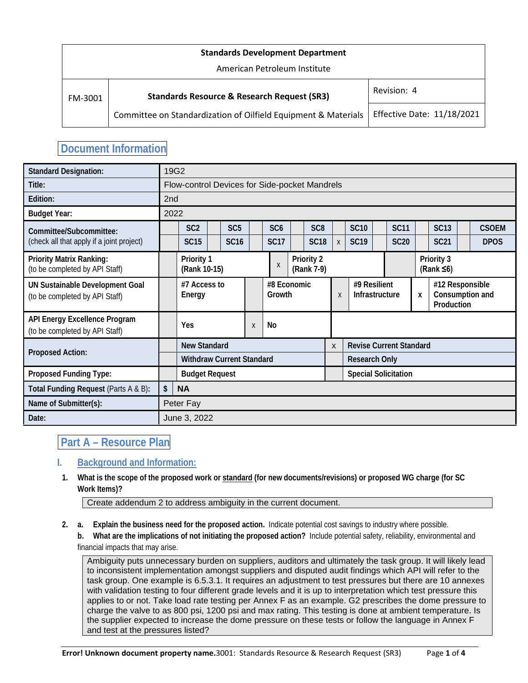| <b>Standards Development Department</b> |                                                                |                                   |  |  |  |  |  |  |
|-----------------------------------------|----------------------------------------------------------------|-----------------------------------|--|--|--|--|--|--|
| American Petroleum Institute            |                                                                |                                   |  |  |  |  |  |  |
| FM-3001                                 | <b>Standards Resource &amp; Research Request (SR3)</b>         | Revision: 4                       |  |  |  |  |  |  |
|                                         | Committee on Standardization of Oilfield Equipment & Materials | <b>Effective Date: 11/18/2021</b> |  |  |  |  |  |  |

## **Document Information**

| <b>Standard Designation:</b>                                             |                     | 19G2                                          |  |                 |   |                       |   |                                |              |                                |  |                             |                                |                                                  |  |              |
|--------------------------------------------------------------------------|---------------------|-----------------------------------------------|--|-----------------|---|-----------------------|---|--------------------------------|--------------|--------------------------------|--|-----------------------------|--------------------------------|--------------------------------------------------|--|--------------|
| Title:                                                                   |                     | Flow-control Devices for Side-pocket Mandrels |  |                 |   |                       |   |                                |              |                                |  |                             |                                |                                                  |  |              |
| Edition:                                                                 | 2 <sub>nd</sub>     |                                               |  |                 |   |                       |   |                                |              |                                |  |                             |                                |                                                  |  |              |
| <b>Budget Year:</b>                                                      | 2022                |                                               |  |                 |   |                       |   |                                |              |                                |  |                             |                                |                                                  |  |              |
| Committee/Subcommittee:                                                  |                     | SC <sub>2</sub>                               |  | SC <sub>5</sub> |   | SC <sub>6</sub>       |   | SC <sub>8</sub>                |              | <b>SC10</b>                    |  | <b>SC11</b>                 |                                | <b>SC13</b>                                      |  | <b>CSOEM</b> |
| (check all that apply if a joint project)                                |                     | <b>SC15</b>                                   |  | <b>SC16</b>     |   | <b>SC17</b>           |   | <b>SC18</b>                    | $\mathsf{X}$ | <b>SC19</b>                    |  | <b>SC20</b>                 |                                | <b>SC21</b>                                      |  | <b>DPOS</b>  |
| <b>Priority Matrix Ranking:</b><br>(to be completed by API Staff)        |                     | Priority 1<br>(Rank 10-15)                    |  |                 |   | $\mathsf{X}$          |   | Priority 2<br>(Rank 7-9)       |              |                                |  |                             | Priority 3<br>(Rank $\leq 6$ ) |                                                  |  |              |
| <b>UN Sustainable Development Goal</b><br>(to be completed by API Staff) |                     | #7 Access to<br>Energy                        |  |                 |   | #8 Economic<br>Growth |   |                                | X            | #9 Resilient<br>Infrastructure |  |                             | X                              | #12 Responsible<br>Consumption and<br>Production |  |              |
| API Energy Excellence Program<br>(to be completed by API Staff)          | Yes                 |                                               |  |                 | X | No                    |   |                                |              |                                |  |                             |                                |                                                  |  |              |
|                                                                          | <b>New Standard</b> |                                               |  |                 |   |                       | X | <b>Revise Current Standard</b> |              |                                |  |                             |                                |                                                  |  |              |
| <b>Proposed Action:</b>                                                  |                     | <b>Withdraw Current Standard</b>              |  |                 |   |                       |   |                                |              | <b>Research Only</b>           |  |                             |                                |                                                  |  |              |
| Proposed Funding Type:                                                   |                     | <b>Budget Request</b>                         |  |                 |   |                       |   |                                |              |                                |  | <b>Special Solicitation</b> |                                |                                                  |  |              |
| Total Funding Request (Parts A & B):                                     |                     | \$<br><b>NA</b>                               |  |                 |   |                       |   |                                |              |                                |  |                             |                                |                                                  |  |              |
| Name of Submitter(s):                                                    | Peter Fay           |                                               |  |                 |   |                       |   |                                |              |                                |  |                             |                                |                                                  |  |              |
| Date:                                                                    |                     | June 3, 2022                                  |  |                 |   |                       |   |                                |              |                                |  |                             |                                |                                                  |  |              |

## **Part A – Resource Plan**

### **I. Background and Information:**

**1. What is the scope of the proposed work or standard (for new documents/revisions) or proposed WG charge (for SC Work Items)?**

Create addendum 2 to address ambiguity in the current document.

- **2. a. Explain the business need for the proposed action.** Indicate potential cost savings to industry where possible.
	- **b. What are the implications of not initiating the proposed action?** Include potential safety, reliability, environmental and financial impacts that may arise.

Ambiguity puts unnecessary burden on suppliers, auditors and ultimately the task group. It will likely lead to inconsistent implementation amongst suppliers and disputed audit findings which API will refer to the task group. One example is 6.5.3.1. It requires an adjustment to test pressures but there are 10 annexes with validation testing to four different grade levels and it is up to interpretation which test pressure this applies to or not. Take load rate testing per Annex F as an example. G2 prescribes the dome pressure to charge the valve to as 800 psi, 1200 psi and max rating. This testing is done at ambient temperature. Is the supplier expected to increase the dome pressure on these tests or follow the language in Annex F and test at the pressures listed?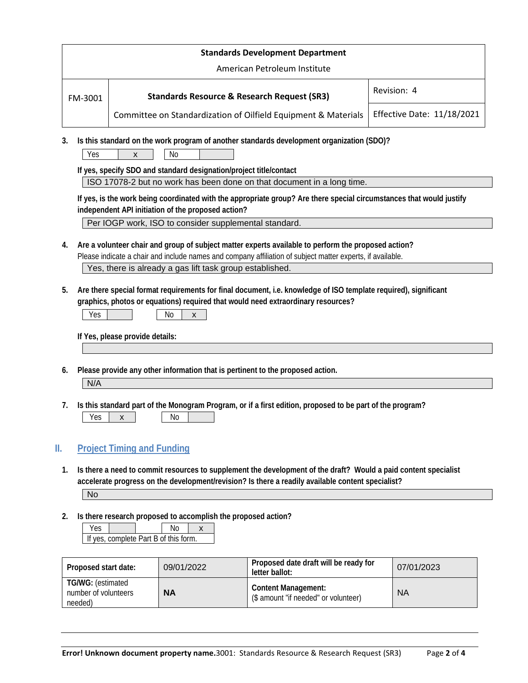| <b>Standards Development Department</b> |                                                                |                                   |  |  |  |  |  |
|-----------------------------------------|----------------------------------------------------------------|-----------------------------------|--|--|--|--|--|
| American Petroleum Institute            |                                                                |                                   |  |  |  |  |  |
| FM-3001                                 | <b>Standards Resource &amp; Research Request (SR3)</b>         | Revision: 4                       |  |  |  |  |  |
|                                         | Committee on Standardization of Oilfield Equipment & Materials | <b>Effective Date: 11/18/2021</b> |  |  |  |  |  |

**3. Is this standard on the work program of another standards development organization (SDO)?**

 $Yes \quad | \quad x \quad | \quad No$ 

**If yes, specify SDO and standard designation/project title/contact**

ISO 17078-2 but no work has been done on that document in a long time.

**If yes, is the work being coordinated with the appropriate group? Are there special circumstances that would justify independent API initiation of the proposed action?**

Per IOGP work, ISO to consider supplemental standard.

- **4. Are a volunteer chair and group of subject matter experts available to perform the proposed action?** Please indicate a chair and include names and company affiliation of subject matter experts, if available. Yes, there is already a gas lift task group established.
- **5. Are there special format requirements for final document, i.e. knowledge of ISO template required), significant graphics, photos or equations) required that would need extraordinary resources?**

| $ -$<br>v | .Nr<br>. |  |
|-----------|----------|--|
|-----------|----------|--|

**If Yes, please provide details:** 

**6. Please provide any other information that is pertinent to the proposed action.**

N/A

**7. Is this standard part of the Monogram Program, or if a first edition, proposed to be part of the program?**

#### **II. Project Timing and Funding**

**1. Is there a need to commit resources to supplement the development of the draft? Would a paid content specialist accelerate progress on the development/revision? Is there a readily available content specialist?**

No

**2. Is there research proposed to accomplish the proposed action?**

| If yes, complete Part B of this form. |  |  |  |  |  |  |  |
|---------------------------------------|--|--|--|--|--|--|--|

| Proposed start date:                                 | 09/01/2022 | Proposed date draft will be ready for<br>letter ballot:            | 07/01/2023 |  |  |
|------------------------------------------------------|------------|--------------------------------------------------------------------|------------|--|--|
| TG/WG: (estimated<br>number of volunteers<br>needed) | <b>NA</b>  | <b>Content Management:</b><br>(\$ amount "if needed" or volunteer) | <b>NA</b>  |  |  |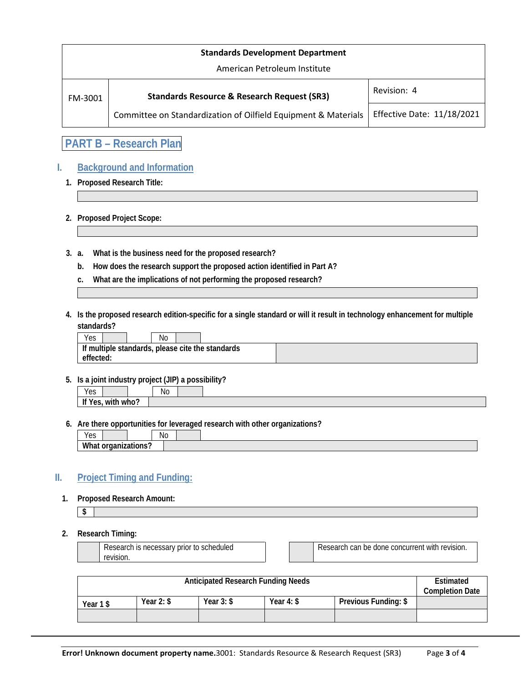| <b>Standards Development Department</b> |                                                                |                            |  |  |  |  |  |  |
|-----------------------------------------|----------------------------------------------------------------|----------------------------|--|--|--|--|--|--|
| American Petroleum Institute            |                                                                |                            |  |  |  |  |  |  |
| FM-3001                                 | <b>Standards Resource &amp; Research Request (SR3)</b>         | Revision: 4                |  |  |  |  |  |  |
|                                         | Committee on Standardization of Oilfield Equipment & Materials | Effective Date: 11/18/2021 |  |  |  |  |  |  |

**PART B – Research Plan**

### **I. Background and Information**

**1. Proposed Research Title:**

**2. Proposed Project Scope:**

- **3. a. What is the business need for the proposed research?**
	- **b. How does the research support the proposed action identified in Part A?**
	- **c. What are the implications of not performing the proposed research?**
- **4. Is the proposed research edition-specific for a single standard or will it result in technology enhancement for multiple standards?**

| Yes                                              |  |  | No |  |  |  |
|--------------------------------------------------|--|--|----|--|--|--|
| If multiple standards, please cite the standards |  |  |    |  |  |  |
| effected:                                        |  |  |    |  |  |  |

**5. Is a joint industry project (JIP) a possibility?**

| いへへ<br>ט ש                                      |       | N0 |  |
|-------------------------------------------------|-------|----|--|
| $\cdots$<br>.<br>-14<br>with<br>V∩c<br>UJ,<br>. | who': |    |  |

**6. Are there opportunities for leveraged research with other organizations?**

| N0<br>$\sqrt{2}$<br>ັບ |  |
|------------------------|--|
| Wh<br>'N               |  |

#### **II. Project Timing and Funding:**

**1. Proposed Research Amount:**

**\$**

#### **2. Research Timing:**

| r to scheduled.<br>IS necessary prior t<br>Research |  | e done concurrent with :<br>can be<br>`revision.<br>Research o |
|-----------------------------------------------------|--|----------------------------------------------------------------|
| revision.                                           |  |                                                                |

| Anticipated Research Funding Needs |              |              |              |                      | Estimated<br><b>Completion Date</b> |
|------------------------------------|--------------|--------------|--------------|----------------------|-------------------------------------|
| Year 1\$                           | Year $2:$ \$ | Year $3:$ \$ | Year $4:$ \$ | Previous Funding: \$ |                                     |
|                                    |              |              |              |                      |                                     |